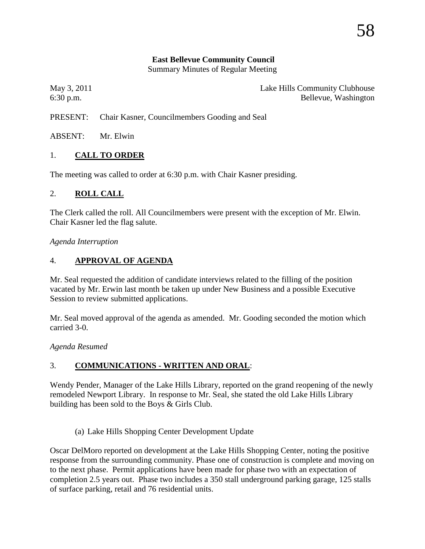#### **East Bellevue Community Council**

Summary Minutes of Regular Meeting

May 3, 2011 **Lake Hills Community Clubhouse** 6:30 p.m. Bellevue, Washington

PRESENT: Chair Kasner, Councilmembers Gooding and Seal

ABSENT: Mr. Elwin

### 1. **CALL TO ORDER**

The meeting was called to order at 6:30 p.m. with Chair Kasner presiding.

#### 2. **ROLL CALL**

The Clerk called the roll. All Councilmembers were present with the exception of Mr. Elwin. Chair Kasner led the flag salute.

#### *Agenda Interruption*

### 4. **APPROVAL OF AGENDA**

Mr. Seal requested the addition of candidate interviews related to the filling of the position vacated by Mr. Erwin last month be taken up under New Business and a possible Executive Session to review submitted applications.

Mr. Seal moved approval of the agenda as amended. Mr. Gooding seconded the motion which carried 3-0.

*Agenda Resumed*

# 3. **COMMUNICATIONS - WRITTEN AND ORAL**:

Wendy Pender, Manager of the Lake Hills Library, reported on the grand reopening of the newly remodeled Newport Library. In response to Mr. Seal, she stated the old Lake Hills Library building has been sold to the Boys & Girls Club.

(a) Lake Hills Shopping Center Development Update

Oscar DelMoro reported on development at the Lake Hills Shopping Center, noting the positive response from the surrounding community. Phase one of construction is complete and moving on to the next phase. Permit applications have been made for phase two with an expectation of completion 2.5 years out. Phase two includes a 350 stall underground parking garage, 125 stalls of surface parking, retail and 76 residential units.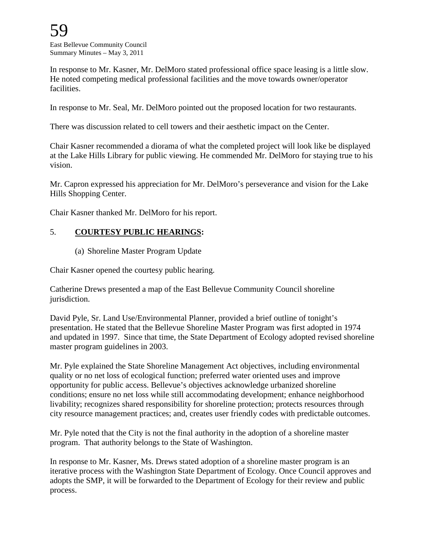In response to Mr. Kasner, Mr. DelMoro stated professional office space leasing is a little slow. He noted competing medical professional facilities and the move towards owner/operator facilities.

In response to Mr. Seal, Mr. DelMoro pointed out the proposed location for two restaurants.

There was discussion related to cell towers and their aesthetic impact on the Center.

Chair Kasner recommended a diorama of what the completed project will look like be displayed at the Lake Hills Library for public viewing. He commended Mr. DelMoro for staying true to his vision.

Mr. Capron expressed his appreciation for Mr. DelMoro's perseverance and vision for the Lake Hills Shopping Center.

Chair Kasner thanked Mr. DelMoro for his report.

### 5. **COURTESY PUBLIC HEARINGS:**

(a) Shoreline Master Program Update

Chair Kasner opened the courtesy public hearing.

Catherine Drews presented a map of the East Bellevue Community Council shoreline jurisdiction.

David Pyle, Sr. Land Use/Environmental Planner, provided a brief outline of tonight's presentation. He stated that the Bellevue Shoreline Master Program was first adopted in 1974 and updated in 1997. Since that time, the State Department of Ecology adopted revised shoreline master program guidelines in 2003.

Mr. Pyle explained the State Shoreline Management Act objectives, including environmental quality or no net loss of ecological function; preferred water oriented uses and improve opportunity for public access. Bellevue's objectives acknowledge urbanized shoreline conditions; ensure no net loss while still accommodating development; enhance neighborhood livability; recognizes shared responsibility for shoreline protection; protects resources through city resource management practices; and, creates user friendly codes with predictable outcomes.

Mr. Pyle noted that the City is not the final authority in the adoption of a shoreline master program. That authority belongs to the State of Washington.

In response to Mr. Kasner, Ms. Drews stated adoption of a shoreline master program is an iterative process with the Washington State Department of Ecology. Once Council approves and adopts the SMP, it will be forwarded to the Department of Ecology for their review and public process.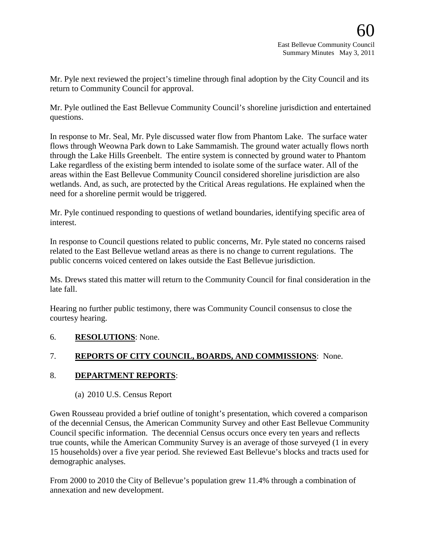Mr. Pyle next reviewed the project's timeline through final adoption by the City Council and its return to Community Council for approval.

Mr. Pyle outlined the East Bellevue Community Council's shoreline jurisdiction and entertained questions.

In response to Mr. Seal, Mr. Pyle discussed water flow from Phantom Lake. The surface water flows through Weowna Park down to Lake Sammamish. The ground water actually flows north through the Lake Hills Greenbelt. The entire system is connected by ground water to Phantom Lake regardless of the existing berm intended to isolate some of the surface water. All of the areas within the East Bellevue Community Council considered shoreline jurisdiction are also wetlands. And, as such, are protected by the Critical Areas regulations. He explained when the need for a shoreline permit would be triggered.

Mr. Pyle continued responding to questions of wetland boundaries, identifying specific area of interest.

In response to Council questions related to public concerns, Mr. Pyle stated no concerns raised related to the East Bellevue wetland areas as there is no change to current regulations. The public concerns voiced centered on lakes outside the East Bellevue jurisdiction.

Ms. Drews stated this matter will return to the Community Council for final consideration in the late fall.

Hearing no further public testimony, there was Community Council consensus to close the courtesy hearing.

# 6. **RESOLUTIONS**: None.

# 7. **REPORTS OF CITY COUNCIL, BOARDS, AND COMMISSIONS**: None.

### 8. **DEPARTMENT REPORTS**:

### (a) 2010 U.S. Census Report

Gwen Rousseau provided a brief outline of tonight's presentation, which covered a comparison of the decennial Census, the American Community Survey and other East Bellevue Community Council specific information. The decennial Census occurs once every ten years and reflects true counts, while the American Community Survey is an average of those surveyed (1 in every 15 households) over a five year period. She reviewed East Bellevue's blocks and tracts used for demographic analyses.

From 2000 to 2010 the City of Bellevue's population grew 11.4% through a combination of annexation and new development.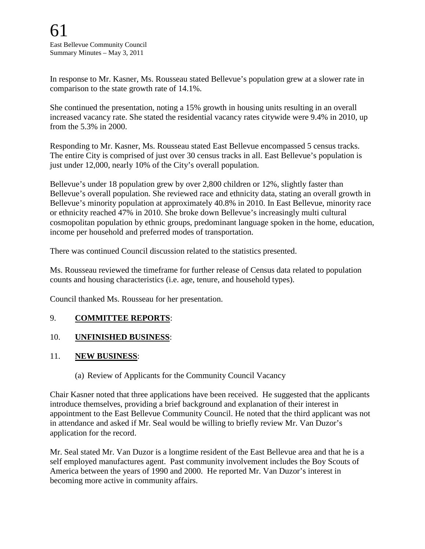In response to Mr. Kasner, Ms. Rousseau stated Bellevue's population grew at a slower rate in comparison to the state growth rate of 14.1%.

She continued the presentation, noting a 15% growth in housing units resulting in an overall increased vacancy rate. She stated the residential vacancy rates citywide were 9.4% in 2010, up from the 5.3% in 2000.

Responding to Mr. Kasner, Ms. Rousseau stated East Bellevue encompassed 5 census tracks. The entire City is comprised of just over 30 census tracks in all. East Bellevue's population is just under 12,000, nearly 10% of the City's overall population.

Bellevue's under 18 population grew by over 2,800 children or 12%, slightly faster than Bellevue's overall population. She reviewed race and ethnicity data, stating an overall growth in Bellevue's minority population at approximately 40.8% in 2010. In East Bellevue, minority race or ethnicity reached 47% in 2010. She broke down Bellevue's increasingly multi cultural cosmopolitan population by ethnic groups, predominant language spoken in the home, education, income per household and preferred modes of transportation.

There was continued Council discussion related to the statistics presented.

Ms. Rousseau reviewed the timeframe for further release of Census data related to population counts and housing characteristics (i.e. age, tenure, and household types).

Council thanked Ms. Rousseau for her presentation.

### 9. **COMMITTEE REPORTS**:

# 10. **UNFINISHED BUSINESS**:

### 11. **NEW BUSINESS**:

(a) Review of Applicants for the Community Council Vacancy

Chair Kasner noted that three applications have been received. He suggested that the applicants introduce themselves, providing a brief background and explanation of their interest in appointment to the East Bellevue Community Council. He noted that the third applicant was not in attendance and asked if Mr. Seal would be willing to briefly review Mr. Van Duzor's application for the record.

Mr. Seal stated Mr. Van Duzor is a longtime resident of the East Bellevue area and that he is a self employed manufactures agent. Past community involvement includes the Boy Scouts of America between the years of 1990 and 2000. He reported Mr. Van Duzor's interest in becoming more active in community affairs.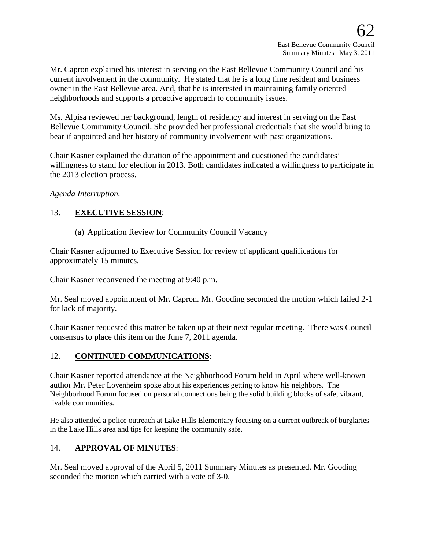Mr. Capron explained his interest in serving on the East Bellevue Community Council and his current involvement in the community. He stated that he is a long time resident and business owner in the East Bellevue area. And, that he is interested in maintaining family oriented neighborhoods and supports a proactive approach to community issues.

Ms. Alpisa reviewed her background, length of residency and interest in serving on the East Bellevue Community Council. She provided her professional credentials that she would bring to bear if appointed and her history of community involvement with past organizations.

Chair Kasner explained the duration of the appointment and questioned the candidates' willingness to stand for election in 2013. Both candidates indicated a willingness to participate in the 2013 election process.

*Agenda Interruption.* 

### 13. **EXECUTIVE SESSION**:

(a) Application Review for Community Council Vacancy

Chair Kasner adjourned to Executive Session for review of applicant qualifications for approximately 15 minutes.

Chair Kasner reconvened the meeting at 9:40 p.m.

Mr. Seal moved appointment of Mr. Capron. Mr. Gooding seconded the motion which failed 2-1 for lack of majority.

Chair Kasner requested this matter be taken up at their next regular meeting. There was Council consensus to place this item on the June 7, 2011 agenda.

# 12. **CONTINUED COMMUNICATIONS**:

Chair Kasner reported attendance at the Neighborhood Forum held in April where well-known author Mr. Peter Lovenheim spoke about his experiences getting to know his neighbors. The Neighborhood Forum focused on personal connections being the solid building blocks of safe, vibrant, livable communities.

He also attended a police outreach at Lake Hills Elementary focusing on a current outbreak of burglaries in the Lake Hills area and tips for keeping the community safe.

# 14. **APPROVAL OF MINUTES**:

Mr. Seal moved approval of the April 5, 2011 Summary Minutes as presented. Mr. Gooding seconded the motion which carried with a vote of 3-0.